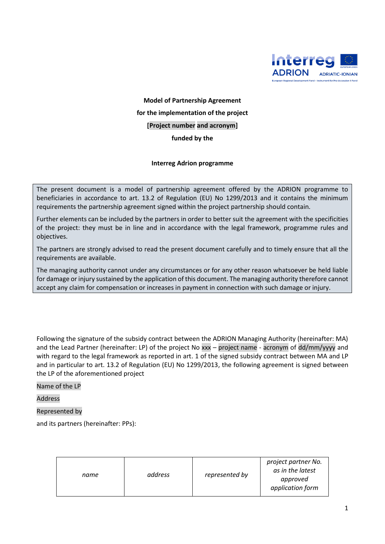

**Model of Partnership Agreement for the implementation of the project [Project number and acronym] funded by the**

## **Interreg Adrion programme**

The present document is a model of partnership agreement offered by the ADRION programme to beneficiaries in accordance to art. 13.2 of Regulation (EU) No 1299/2013 and it contains the minimum requirements the partnership agreement signed within the project partnership should contain.

Further elements can be included by the partners in order to better suit the agreement with the specificities of the project: they must be in line and in accordance with the legal framework, programme rules and objectives.

The partners are strongly advised to read the present document carefully and to timely ensure that all the requirements are available.

The managing authority cannot under any circumstances or for any other reason whatsoever be held liable for damage or injury sustained by the application of this document. The managing authority therefore cannot accept any claim for compensation or increases in payment in connection with such damage or injury.

Following the signature of the subsidy contract between the ADRION Managing Authority (hereinafter: MA) and the Lead Partner (hereinafter: LP) of the project No xxx – project name - acronym of dd/mm/yyyy and with regard to the legal framework as reported in art. 1 of the signed subsidy contract between MA and LP and in particular to art. 13.2 of Regulation (EU) No 1299/2013, the following agreement is signed between the LP of the aforementioned project

Name of the LP

Address

## Represented by

and its partners (hereinafter: PPs):

| address<br>name | represented by | project partner No.<br>as in the latest<br>approved<br>application form |
|-----------------|----------------|-------------------------------------------------------------------------|
|-----------------|----------------|-------------------------------------------------------------------------|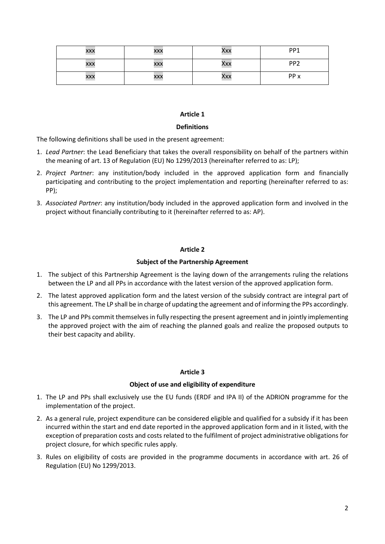| <b>XXX</b> | XXX | Xxx | PP1             |
|------------|-----|-----|-----------------|
| <b>XXX</b> | XXX | Xxx | PP <sub>2</sub> |
| <b>XXX</b> | XXX | Xxx | PP x            |

## **Definitions**

The following definitions shall be used in the present agreement:

- 1. *Lead Partner*: the Lead Beneficiary that takes the overall responsibility on behalf of the partners within the meaning of art. 13 of Regulation (EU) No 1299/2013 (hereinafter referred to as: LP);
- 2. *Project Partner*: any institution/body included in the approved application form and financially participating and contributing to the project implementation and reporting (hereinafter referred to as: PP);
- 3. *Associated Partner*: any institution/body included in the approved application form and involved in the project without financially contributing to it (hereinafter referred to as: AP).

# **Article 2**

# **Subject of the Partnership Agreement**

- 1. The subject of this Partnership Agreement is the laying down of the arrangements ruling the relations between the LP and all PPs in accordance with the latest version of the approved application form.
- 2. The latest approved application form and the latest version of the subsidy contract are integral part of this agreement. The LP shall be in charge of updating the agreement and of informing the PPs accordingly.
- 3. The LP and PPs commit themselves in fully respecting the present agreement and in jointly implementing the approved project with the aim of reaching the planned goals and realize the proposed outputs to their best capacity and ability.

## **Article 3**

## **Object of use and eligibility of expenditure**

- 1. The LP and PPs shall exclusively use the EU funds (ERDF and IPA II) of the ADRION programme for the implementation of the project.
- 2. As a general rule, project expenditure can be considered eligible and qualified for a subsidy if it has been incurred within the start and end date reported in the approved application form and in it listed, with the exception of preparation costs and costs related to the fulfilment of project administrative obligations for project closure, for which specific rules apply.
- 3. Rules on eligibility of costs are provided in the programme documents in accordance with art. 26 of Regulation (EU) No 1299/2013.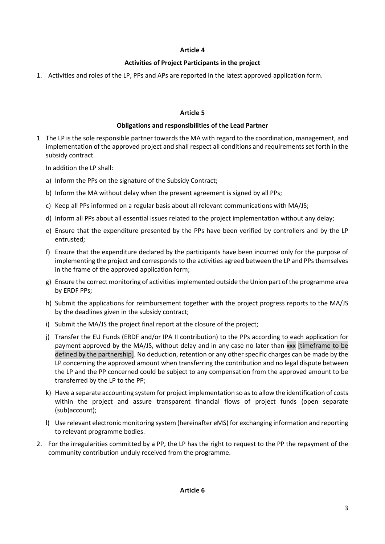# **Activities of Project Participants in the project**

1. Activities and roles of the LP, PPs and APs are reported in the latest approved application form.

## **Article 5**

# **Obligations and responsibilities of the Lead Partner**

1 The LP is the sole responsible partner towards the MA with regard to the coordination, management, and implementation of the approved project and shall respect all conditions and requirements set forth in the subsidy contract.

In addition the LP shall:

- a) Inform the PPs on the signature of the Subsidy Contract;
- b) Inform the MA without delay when the present agreement is signed by all PPs;
- c) Keep all PPs informed on a regular basis about all relevant communications with MA/JS;
- d) Inform all PPs about all essential issues related to the project implementation without any delay;
- e) Ensure that the expenditure presented by the PPs have been verified by controllers and by the LP entrusted;
- f) Ensure that the expenditure declared by the participants have been incurred only for the purpose of implementing the project and corresponds to the activities agreed between the LP and PPs themselves in the frame of the approved application form;
- g) Ensure the correct monitoring of activities implemented outside the Union part of the programme area by ERDF PPs;
- h) Submit the applications for reimbursement together with the project progress reports to the MA/JS by the deadlines given in the subsidy contract;
- i) Submit the MA/JS the project final report at the closure of the project;
- j) Transfer the EU Funds (ERDF and/or IPA II contribution) to the PPs according to each application for payment approved by the MA/JS, without delay and in any case no later than xxx [timeframe to be defined by the partnership]. No deduction, retention or any other specific charges can be made by the LP concerning the approved amount when transferring the contribution and no legal dispute between the LP and the PP concerned could be subject to any compensation from the approved amount to be transferred by the LP to the PP;
- k) Have a separate accounting system for project implementation so as to allow the identification of costs within the project and assure transparent financial flows of project funds (open separate (sub)account);
- l) Use relevant electronic monitoring system (hereinafter eMS) for exchanging information and reporting to relevant programme bodies.
- 2. For the irregularities committed by a PP, the LP has the right to request to the PP the repayment of the community contribution unduly received from the programme.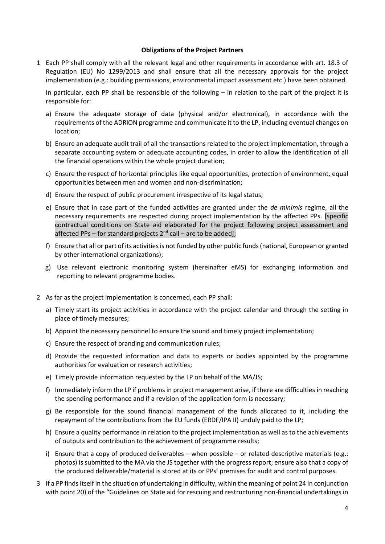#### **Obligations of the Project Partners**

1 Each PP shall comply with all the relevant legal and other requirements in accordance with art. 18.3 of Regulation (EU) No 1299/2013 and shall ensure that all the necessary approvals for the project implementation (e.g.: building permissions, environmental impact assessment etc.) have been obtained.

In particular, each PP shall be responsible of the following – in relation to the part of the project it is responsible for:

- a) Ensure the adequate storage of data (physical and/or electronical), in accordance with the requirements of the ADRION programme and communicate it to the LP, including eventual changes on location;
- b) Ensure an adequate audit trail of all the transactions related to the project implementation, through a separate accounting system or adequate accounting codes, in order to allow the identification of all the financial operations within the whole project duration;
- c) Ensure the respect of horizontal principles like equal opportunities, protection of environment, equal opportunities between men and women and non-discrimination;
- d) Ensure the respect of public procurement irrespective of its legal status;
- e) Ensure that in case part of the funded activities are granted under the *de minimis* regime, all the necessary requirements are respected during project implementation by the affected PPs. [specific contractual conditions on State aid elaborated for the project following project assessment and affected PPs – for standard projects 2<sup>nd</sup> call – are to be added];
- f) Ensure that all or part of its activities is not funded by other public funds (national, European or granted by other international organizations);
- g) Use relevant electronic monitoring system (hereinafter eMS) for exchanging information and reporting to relevant programme bodies.
- 2 As far as the project implementation is concerned, each PP shall:
	- a) Timely start its project activities in accordance with the project calendar and through the setting in place of timely measures;
	- b) Appoint the necessary personnel to ensure the sound and timely project implementation;
	- c) Ensure the respect of branding and communication rules;
	- d) Provide the requested information and data to experts or bodies appointed by the programme authorities for evaluation or research activities;
	- e) Timely provide information requested by the LP on behalf of the MA/JS;
	- f) Immediately inform the LP if problems in project management arise, if there are difficulties in reaching the spending performance and if a revision of the application form is necessary;
	- g) Be responsible for the sound financial management of the funds allocated to it, including the repayment of the contributions from the EU funds (ERDF/IPA II) unduly paid to the LP;
	- h) Ensure a quality performance in relation to the project implementation as well as to the achievements of outputs and contribution to the achievement of programme results;
	- i) Ensure that a copy of produced deliverables when possible or related descriptive materials (e.g.: photos) is submitted to the MA via the JS together with the progress report; ensure also that a copy of the produced deliverable/material is stored at its or PPs' premises for audit and control purposes.
- 3 If a PP finds itself in the situation of undertaking in difficulty, within the meaning of point 24 in conjunction with point 20) of the "Guidelines on State aid for rescuing and restructuring non-financial undertakings in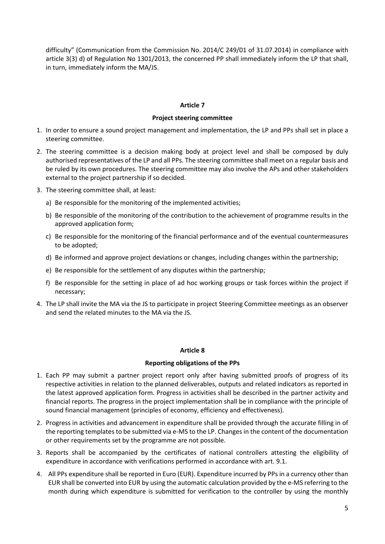difficulty" (Communication from the Commission No. 2014/C 249/01 of 31.07.2014) in compliance with article 3(3) d) of Regulation No 1301/2013, the concerned PP shall immediately inform the LP that shall, in turn, immediately inform the MA/JS.

## **Article 7**

## **Project steering committee**

- 1. In order to ensure a sound project management and implementation, the LP and PPs shall set in place a steering committee.
- 2. The steering committee is a decision making body at project level and shall be composed by duly authorised representatives of the LP and all PPs. The steering committee shall meet on a regular basis and be ruled by its own procedures. The steering committee may also involve the APs and other stakeholders external to the project partnership if so decided.
- 3. The steering committee shall, at least:
	- a) Be responsible for the monitoring of the implemented activities;
	- b) Be responsible of the monitoring of the contribution to the achievement of programme results in the approved application form;
	- c) Be responsible for the monitoring of the financial performance and of the eventual countermeasures to be adopted;
	- d) Be informed and approve project deviations or changes, including changes within the partnership;
	- e) Be responsible for the settlement of any disputes within the partnership;
	- f) Be responsible for the setting in place of ad hoc working groups or task forces within the project if necessary;
- 4. The LP shall invite the MA via the JS to participate in project Steering Committee meetings as an observer and send the related minutes to the MA via the JS.

## **Article 8**

## **Reporting obligations of the PPs**

- 1. Each PP may submit a partner project report only after having submitted proofs of progress of its respective activities in relation to the planned deliverables, outputs and related indicators as reported in the latest approved application form. Progress in activities shall be described in the partner activity and financial reports. The progress in the project implementation shall be in compliance with the principle of sound financial management (principles of economy, efficiency and effectiveness).
- 2. Progress in activities and advancement in expenditure shall be provided through the accurate filling in of the reporting templates to be submitted via e-MS to the LP. Changes in the content of the documentation or other requirements set by the programme are not possible.
- 3. Reports shall be accompanied by the certificates of national controllers attesting the eligibility of expenditure in accordance with verifications performed in accordance with art. 9.1.
- 4. All PPs expenditure shall be reported in Euro (EUR). Expenditure incurred by PPs in a currency other than EUR shall be converted into EUR by using the automatic calculation provided by the e-MS referring to the month during which expenditure is submitted for verification to the controller by using the monthly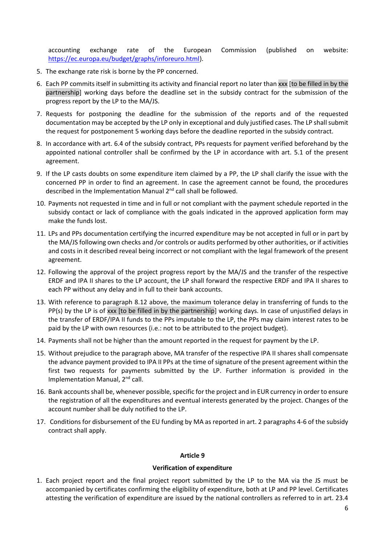accounting exchange rate of the European Commission (published on website: [https://ec.europa.eu/budget/graphs/inforeuro.html\)](https://ec.europa.eu/budget/graphs/inforeuro.html).

- 5. The exchange rate risk is borne by the PP concerned.
- 6. Each PP commits itself in submitting its activity and financial report no later than xxx [to be filled in by the partnership] working days before the deadline set in the subsidy contract for the submission of the progress report by the LP to the MA/JS.
- 7. Requests for postponing the deadline for the submission of the reports and of the requested documentation may be accepted by the LP only in exceptional and duly justified cases. The LP shall submit the request for postponement 5 working days before the deadline reported in the subsidy contract.
- 8. In accordance with art. 6.4 of the subsidy contract, PPs requests for payment verified beforehand by the appointed national controller shall be confirmed by the LP in accordance with art. 5.1 of the present agreement.
- 9. If the LP casts doubts on some expenditure item claimed by a PP, the LP shall clarify the issue with the concerned PP in order to find an agreement. In case the agreement cannot be found, the procedures described in the Implementation Manual 2<sup>nd</sup> call shall be followed.
- 10. Payments not requested in time and in full or not compliant with the payment schedule reported in the subsidy contact or lack of compliance with the goals indicated in the approved application form may make the funds lost.
- 11. LPs and PPs documentation certifying the incurred expenditure may be not accepted in full or in part by the MA/JS following own checks and /or controls or audits performed by other authorities, or if activities and costs in it described reveal being incorrect or not compliant with the legal framework of the present agreement.
- 12. Following the approval of the project progress report by the MA/JS and the transfer of the respective ERDF and IPA II shares to the LP account, the LP shall forward the respective ERDF and IPA II shares to each PP without any delay and in full to their bank accounts.
- 13. With reference to paragraph 8.12 above, the maximum tolerance delay in transferring of funds to the PP(s) by the LP is of xxx [to be filled in by the partnership] working days. In case of unjustified delays in the transfer of ERDF/IPA II funds to the PPs imputable to the LP, the PPs may claim interest rates to be paid by the LP with own resources (i.e.: not to be attributed to the project budget).
- 14. Payments shall not be higher than the amount reported in the request for payment by the LP.
- 15. Without prejudice to the paragraph above, MA transfer of the respective IPA II shares shall compensate the advance payment provided to IPA II PPs at the time of signature of the present agreement within the first two requests for payments submitted by the LP. Further information is provided in the Implementation Manual, 2<sup>nd</sup> call.
- 16. Bank accounts shall be, whenever possible, specific for the project and in EUR currency in order to ensure the registration of all the expenditures and eventual interests generated by the project. Changes of the account number shall be duly notified to the LP.
- 17. Conditions for disbursement of the EU funding by MA as reported in art. 2 paragraphs 4-6 of the subsidy contract shall apply.

# **Article 9**

#### **Verification of expenditure**

1. Each project report and the final project report submitted by the LP to the MA via the JS must be accompanied by certificates confirming the eligibility of expenditure, both at LP and PP level. Certificates attesting the verification of expenditure are issued by the national controllers as referred to in art. 23.4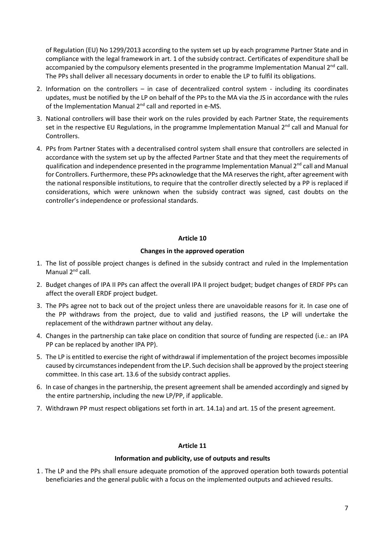of Regulation (EU) No 1299/2013 according to the system set up by each programme Partner State and in compliance with the legal framework in art. 1 of the subsidy contract. Certificates of expenditure shall be accompanied by the compulsory elements presented in the programme Implementation Manual 2<sup>nd</sup> call. The PPs shall deliver all necessary documents in order to enable the LP to fulfil its obligations.

- 2. Information on the controllers in case of decentralized control system including its coordinates updates, must be notified by the LP on behalf of the PPs to the MA via the JS in accordance with the rules of the Implementation Manual 2<sup>nd</sup> call and reported in e-MS.
- 3. National controllers will base their work on the rules provided by each Partner State, the requirements set in the respective EU Regulations, in the programme Implementation Manual 2<sup>nd</sup> call and Manual for Controllers.
- 4. PPs from Partner States with a decentralised control system shall ensure that controllers are selected in accordance with the system set up by the affected Partner State and that they meet the requirements of qualification and independence presented in the programme Implementation Manual 2<sup>nd</sup> call and Manual for Controllers. Furthermore, these PPs acknowledge that the MA reserves the right, after agreement with the national responsible institutions, to require that the controller directly selected by a PP is replaced if considerations, which were unknown when the subsidy contract was signed, cast doubts on the controller's independence or professional standards.

# **Article 10**

# **Changes in the approved operation**

- 1. The list of possible project changes is defined in the subsidy contract and ruled in the Implementation Manual 2<sup>nd</sup> call.
- 2. Budget changes of IPA II PPs can affect the overall IPA II project budget; budget changes of ERDF PPs can affect the overall ERDF project budget.
- 3. The PPs agree not to back out of the project unless there are unavoidable reasons for it. In case one of the PP withdraws from the project, due to valid and justified reasons, the LP will undertake the replacement of the withdrawn partner without any delay.
- 4. Changes in the partnership can take place on condition that source of funding are respected (i.e.: an IPA PP can be replaced by another IPA PP).
- 5. The LP is entitled to exercise the right of withdrawal if implementation of the project becomes impossible caused by circumstances independent from the LP. Such decision shall be approved by the project steering committee. In this case art. 13.6 of the subsidy contract applies.
- 6. In case of changes in the partnership, the present agreement shall be amended accordingly and signed by the entire partnership, including the new LP/PP, if applicable.
- 7. Withdrawn PP must respect obligations set forth in art. 14.1a) and art. 15 of the present agreement.

## **Article 11**

## **Information and publicity, use of outputs and results**

1 . The LP and the PPs shall ensure adequate promotion of the approved operation both towards potential beneficiaries and the general public with a focus on the implemented outputs and achieved results.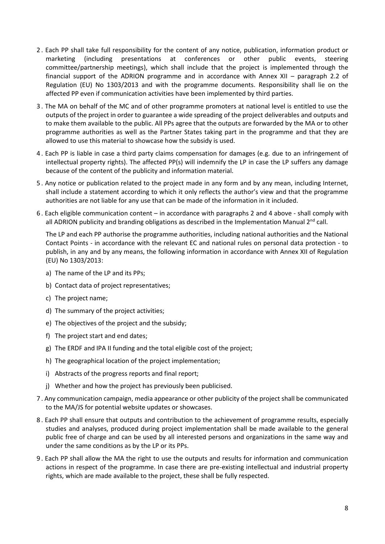- 2 . Each PP shall take full responsibility for the content of any notice, publication, information product or marketing (including presentations at conferences or other public events, steering committee/partnership meetings), which shall include that the project is implemented through the financial support of the ADRION programme and in accordance with Annex XII – paragraph 2.2 of Regulation (EU) No 1303/2013 and with the programme documents. Responsibility shall lie on the affected PP even if communication activities have been implemented by third parties.
- 3 . The MA on behalf of the MC and of other programme promoters at national level is entitled to use the outputs of the project in order to guarantee a wide spreading of the project deliverables and outputs and to make them available to the public. All PPs agree that the outputs are forwarded by the MA or to other programme authorities as well as the Partner States taking part in the programme and that they are allowed to use this material to showcase how the subsidy is used.
- 4 . Each PP is liable in case a third party claims compensation for damages (e.g. due to an infringement of intellectual property rights). The affected PP(s) will indemnify the LP in case the LP suffers any damage because of the content of the publicity and information material.
- 5 . Any notice or publication related to the project made in any form and by any mean, including Internet, shall include a statement according to which it only reflects the author's view and that the programme authorities are not liable for any use that can be made of the information in it included.
- 6 . Each eligible communication content in accordance with paragraphs 2 and 4 above shall comply with all ADRION publicity and branding obligations as described in the Implementation Manual 2<sup>nd</sup> call.

The LP and each PP authorise the programme authorities, including national authorities and the National Contact Points - in accordance with the relevant EC and national rules on personal data protection - to publish, in any and by any means, the following information in accordance with Annex XII of Regulation (EU) No 1303/2013:

- a) The name of the LP and its PPs;
- b) Contact data of project representatives;
- c) The project name;
- d) The summary of the project activities;
- e) The objectives of the project and the subsidy;
- f) The project start and end dates;
- g) The ERDF and IPA II funding and the total eligible cost of the project;
- h) The geographical location of the project implementation;
- i) Abstracts of the progress reports and final report;
- j) Whether and how the project has previously been publicised.
- 7 . Any communication campaign, media appearance or other publicity of the project shall be communicated to the MA/JS for potential website updates or showcases.
- 8 . Each PP shall ensure that outputs and contribution to the achievement of programme results, especially studies and analyses, produced during project implementation shall be made available to the general public free of charge and can be used by all interested persons and organizations in the same way and under the same conditions as by the LP or its PPs.
- 9 . Each PP shall allow the MA the right to use the outputs and results for information and communication actions in respect of the programme. In case there are pre-existing intellectual and industrial property rights, which are made available to the project, these shall be fully respected.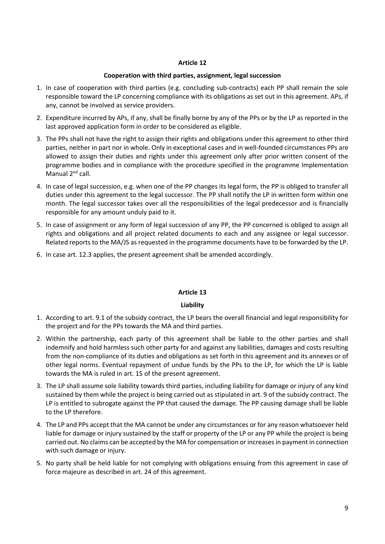## **Cooperation with third parties, assignment, legal succession**

- 1. In case of cooperation with third parties (e.g. concluding sub-contracts) each PP shall remain the sole responsible toward the LP concerning compliance with its obligations as set out in this agreement. APs, if any, cannot be involved as service providers.
- 2. Expenditure incurred by APs, if any, shall be finally borne by any of the PPs or by the LP as reported in the last approved application form in order to be considered as eligible.
- 3. The PPs shall not have the right to assign their rights and obligations under this agreement to other third parties, neither in part nor in whole. Only in exceptional cases and in well-founded circumstances PPs are allowed to assign their duties and rights under this agreement only after prior written consent of the programme bodies and in compliance with the procedure specified in the programme Implementation Manual 2<sup>nd</sup> call.
- 4. In case of legal succession, e.g. when one of the PP changes its legal form, the PP is obliged to transfer all duties under this agreement to the legal successor. The PP shall notify the LP in written form within one month. The legal successor takes over all the responsibilities of the legal predecessor and is financially responsible for any amount unduly paid to it.
- 5. In case of assignment or any form of legal succession of any PP, the PP concerned is obliged to assign all rights and obligations and all project related documents to each and any assignee or legal successor. Related reports to the MA/JS as requested in the programme documents have to be forwarded by the LP.
- 6. In case art. 12.3 applies, the present agreement shall be amended accordingly.

## **Article 13**

## **Liability**

- 1. According to art. 9.1 of the subsidy contract, the LP bears the overall financial and legal responsibility for the project and for the PPs towards the MA and third parties.
- 2. Within the partnership, each party of this agreement shall be liable to the other parties and shall indemnify and hold harmless such other party for and against any liabilities, damages and costs resulting from the non-compliance of its duties and obligations as set forth in this agreement and its annexes or of other legal norms. Eventual repayment of undue funds by the PPs to the LP, for which the LP is liable towards the MA is ruled in art. 15 of the present agreement.
- 3. The LP shall assume sole liability towards third parties, including liability for damage or injury of any kind sustained by them while the project is being carried out as stipulated in art. 9 of the subsidy contract. The LP is entitled to subrogate against the PP that caused the damage. The PP causing damage shall be liable to the LP therefore.
- 4. The LP and PPs accept that the MA cannot be under any circumstances or for any reason whatsoever held liable for damage or injury sustained by the staff or property of the LP or any PP while the project is being carried out. No claims can be accepted by the MA for compensation or increases in payment in connection with such damage or injury.
- 5. No party shall be held liable for not complying with obligations ensuing from this agreement in case of force majeure as described in art. 24 of this agreement.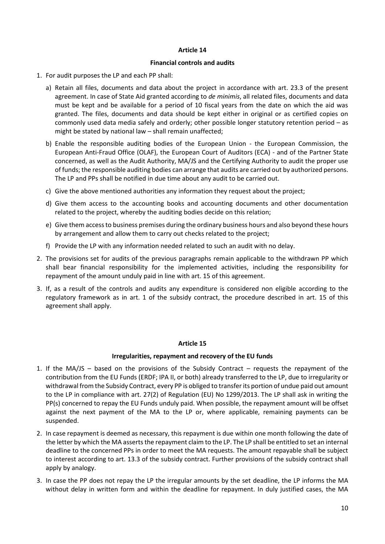#### **Financial controls and audits**

- 1. For audit purposes the LP and each PP shall:
	- a) Retain all files, documents and data about the project in accordance with art. 23.3 of the present agreement. In case of State Aid granted according to *de minimis*, all related files, documents and data must be kept and be available for a period of 10 fiscal years from the date on which the aid was granted. The files, documents and data should be kept either in original or as certified copies on commonly used data media safely and orderly; other possible longer statutory retention period – as might be stated by national law – shall remain unaffected;
	- b) Enable the responsible auditing bodies of the European Union the European Commission, the European Anti-Fraud Office (OLAF), the European Court of Auditors (ECA) - and of the Partner State concerned, as well as the Audit Authority, MA/JS and the Certifying Authority to audit the proper use of funds; the responsible auditing bodies can arrange that audits are carried out by authorized persons. The LP and PPs shall be notified in due time about any audit to be carried out.
	- c) Give the above mentioned authorities any information they request about the project;
	- d) Give them access to the accounting books and accounting documents and other documentation related to the project, whereby the auditing bodies decide on this relation;
	- e) Give them access to business premises during the ordinary business hours and also beyond these hours by arrangement and allow them to carry out checks related to the project;
	- f) Provide the LP with any information needed related to such an audit with no delay.
- 2. The provisions set for audits of the previous paragraphs remain applicable to the withdrawn PP which shall bear financial responsibility for the implemented activities, including the responsibility for repayment of the amount unduly paid in line with art. 15 of this agreement.
- 3. If, as a result of the controls and audits any expenditure is considered non eligible according to the regulatory framework as in art. 1 of the subsidy contract, the procedure described in art. 15 of this agreement shall apply.

## **Article 15**

## **Irregularities, repayment and recovery of the EU funds**

- 1. If the MA/JS based on the provisions of the Subsidy Contract requests the repayment of the contribution from the EU Funds (ERDF; IPA II, or both) already transferred to the LP, due to irregularity or withdrawal from the Subsidy Contract, every PP is obliged to transfer its portion of undue paid out amount to the LP in compliance with art. 27(2) of Regulation (EU) No 1299/2013. The LP shall ask in writing the PP(s) concerned to repay the EU Funds unduly paid. When possible, the repayment amount will be offset against the next payment of the MA to the LP or, where applicable, remaining payments can be suspended.
- 2. In case repayment is deemed as necessary, this repayment is due within one month following the date of the letter by which the MA asserts the repayment claim to the LP. The LP shall be entitled to set an internal deadline to the concerned PPs in order to meet the MA requests. The amount repayable shall be subject to interest according to art. 13.3 of the subsidy contract. Further provisions of the subsidy contract shall apply by analogy.
- 3. In case the PP does not repay the LP the irregular amounts by the set deadline, the LP informs the MA without delay in written form and within the deadline for repayment. In duly justified cases, the MA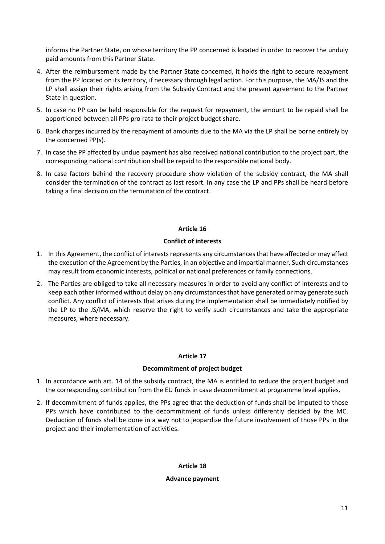informs the Partner State, on whose territory the PP concerned is located in order to recover the unduly paid amounts from this Partner State.

- 4. After the reimbursement made by the Partner State concerned, it holds the right to secure repayment from the PP located on its territory, if necessary through legal action. For this purpose, the MA/JS and the LP shall assign their rights arising from the Subsidy Contract and the present agreement to the Partner State in question.
- 5. In case no PP can be held responsible for the request for repayment, the amount to be repaid shall be apportioned between all PPs pro rata to their project budget share.
- 6. Bank charges incurred by the repayment of amounts due to the MA via the LP shall be borne entirely by the concerned PP(s).
- 7. In case the PP affected by undue payment has also received national contribution to the project part, the corresponding national contribution shall be repaid to the responsible national body.
- 8. In case factors behind the recovery procedure show violation of the subsidy contract, the MA shall consider the termination of the contract as last resort. In any case the LP and PPs shall be heard before taking a final decision on the termination of the contract.

# **Article 16**

# **Conflict of interests**

- 1. In this Agreement, the conflict of interests represents any circumstances that have affected or may affect the execution of the Agreement by the Parties, in an objective and impartial manner. Such circumstances may result from economic interests, political or national preferences or family connections.
- 2. The Parties are obliged to take all necessary measures in order to avoid any conflict of interests and to keep each other informed without delay on any circumstances that have generated or may generate such conflict. Any conflict of interests that arises during the implementation shall be immediately notified by the LP to the JS/MA, which reserve the right to verify such circumstances and take the appropriate measures, where necessary.

# **Article 17**

# **Decommitment of project budget**

- 1. In accordance with art. 14 of the subsidy contract, the MA is entitled to reduce the project budget and the corresponding contribution from the EU funds in case decommitment at programme level applies.
- 2. If decommitment of funds applies, the PPs agree that the deduction of funds shall be imputed to those PPs which have contributed to the decommitment of funds unless differently decided by the MC. Deduction of funds shall be done in a way not to jeopardize the future involvement of those PPs in the project and their implementation of activities.

**Article 18**

# **Advance payment**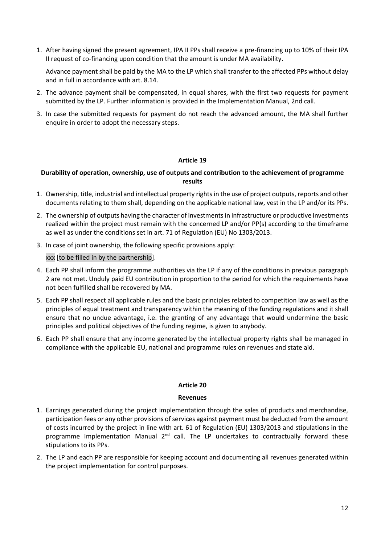1. After having signed the present agreement, IPA II PPs shall receive a pre-financing up to 10% of their IPA II request of co-financing upon condition that the amount is under MA availability.

Advance payment shall be paid by the MA to the LP which shall transfer to the affected PPs without delay and in full in accordance with art. 8.14.

- 2. The advance payment shall be compensated, in equal shares, with the first two requests for payment submitted by the LP. Further information is provided in the Implementation Manual, 2nd call.
- 3. In case the submitted requests for payment do not reach the advanced amount, the MA shall further enquire in order to adopt the necessary steps.

# **Article 19**

# **Durability of operation, ownership, use of outputs and contribution to the achievement of programme results**

- 1. Ownership, title, industrial and intellectual property rights in the use of project outputs, reports and other documents relating to them shall, depending on the applicable national law, vest in the LP and/or its PPs.
- 2. The ownership of outputs having the character of investments in infrastructure or productive investments realized within the project must remain with the concerned LP and/or PP(s) according to the timeframe as well as under the conditions set in art. 71 of Regulation (EU) No 1303/2013.
- 3. In case of joint ownership, the following specific provisions apply:

xxx [to be filled in by the partnership].

- 4. Each PP shall inform the programme authorities via the LP if any of the conditions in previous paragraph 2 are not met. Unduly paid EU contribution in proportion to the period for which the requirements have not been fulfilled shall be recovered by MA.
- 5. Each PP shall respect all applicable rules and the basic principles related to competition law as well as the principles of equal treatment and transparency within the meaning of the funding regulations and it shall ensure that no undue advantage, i.e. the granting of any advantage that would undermine the basic principles and political objectives of the funding regime, is given to anybody.
- 6. Each PP shall ensure that any income generated by the intellectual property rights shall be managed in compliance with the applicable EU, national and programme rules on revenues and state aid.

## **Article 20**

## **Revenues**

- 1. Earnings generated during the project implementation through the sales of products and merchandise, participation fees or any other provisions of services against payment must be deducted from the amount of costs incurred by the project in line with art. 61 of Regulation (EU) 1303/2013 and stipulations in the programme Implementation Manual 2<sup>nd</sup> call. The LP undertakes to contractually forward these stipulations to its PPs.
- 2. The LP and each PP are responsible for keeping account and documenting all revenues generated within the project implementation for control purposes.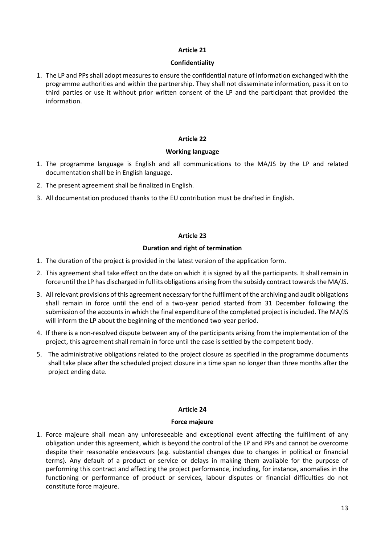## **Confidentiality**

1. The LP and PPs shall adopt measures to ensure the confidential nature of information exchanged with the programme authorities and within the partnership. They shall not disseminate information, pass it on to third parties or use it without prior written consent of the LP and the participant that provided the information.

## **Article 22**

## **Working language**

- 1. The programme language is English and all communications to the MA/JS by the LP and related documentation shall be in English language.
- 2. The present agreement shall be finalized in English.
- 3. All documentation produced thanks to the EU contribution must be drafted in English.

# **Article 23**

# **Duration and right of termination**

- 1. The duration of the project is provided in the latest version of the application form.
- 2. This agreement shall take effect on the date on which it is signed by all the participants. It shall remain in force until the LP has discharged in full its obligations arising from the subsidy contract towards the MA/JS.
- 3. All relevant provisions of this agreement necessary for the fulfilment of the archiving and audit obligations shall remain in force until the end of a two-year period started from 31 December following the submission of the accounts in which the final expenditure of the completed project is included. The MA/JS will inform the LP about the beginning of the mentioned two-year period.
- 4. If there is a non-resolved dispute between any of the participants arising from the implementation of the project, this agreement shall remain in force until the case is settled by the competent body.
- 5. The administrative obligations related to the project closure as specified in the programme documents shall take place after the scheduled project closure in a time span no longer than three months after the project ending date.

## **Article 24**

## **Force majeure**

1. Force majeure shall mean any unforeseeable and exceptional event affecting the fulfilment of any obligation under this agreement, which is beyond the control of the LP and PPs and cannot be overcome despite their reasonable endeavours (e.g. substantial changes due to changes in political or financial terms). Any default of a product or service or delays in making them available for the purpose of performing this contract and affecting the project performance, including, for instance, anomalies in the functioning or performance of product or services, labour disputes or financial difficulties do not constitute force majeure.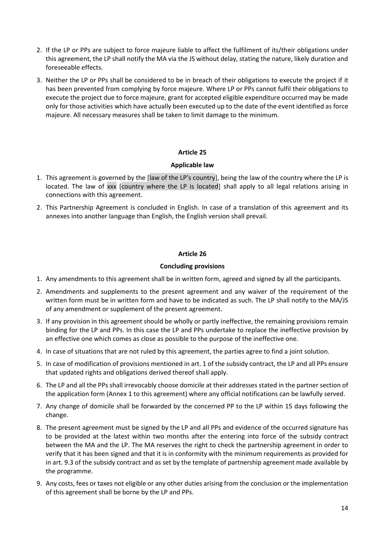- 2. If the LP or PPs are subject to force majeure liable to affect the fulfilment of its/their obligations under this agreement, the LP shall notify the MA via the JS without delay, stating the nature, likely duration and foreseeable effects.
- 3. Neither the LP or PPs shall be considered to be in breach of their obligations to execute the project if it has been prevented from complying by force majeure. Where LP or PPs cannot fulfil their obligations to execute the project due to force majeure, grant for accepted eligible expenditure occurred may be made only for those activities which have actually been executed up to the date of the event identified as force majeure. All necessary measures shall be taken to limit damage to the minimum.

# **Applicable law**

- 1. This agreement is governed by the [law of the LP's country], being the law of the country where the LP is located. The law of xxx [country where the LP is located] shall apply to all legal relations arising in connections with this agreement.
- 2. This Partnership Agreement is concluded in English. In case of a translation of this agreement and its annexes into another language than English, the English version shall prevail.

# **Article 26**

## **Concluding provisions**

- 1. Any amendments to this agreement shall be in written form, agreed and signed by all the participants.
- 2. Amendments and supplements to the present agreement and any waiver of the requirement of the written form must be in written form and have to be indicated as such. The LP shall notify to the MA/JS of any amendment or supplement of the present agreement.
- 3. If any provision in this agreement should be wholly or partly ineffective, the remaining provisions remain binding for the LP and PPs. In this case the LP and PPs undertake to replace the ineffective provision by an effective one which comes as close as possible to the purpose of the ineffective one.
- 4. In case of situations that are not ruled by this agreement, the parties agree to find a joint solution.
- 5. In case of modification of provisions mentioned in art. 1 of the subsidy contract, the LP and all PPs ensure that updated rights and obligations derived thereof shall apply.
- 6. The LP and all the PPs shall irrevocably choose domicile at their addresses stated in the partner section of the application form (Annex 1 to this agreement) where any official notifications can be lawfully served.
- 7. Any change of domicile shall be forwarded by the concerned PP to the LP within 15 days following the change.
- 8. The present agreement must be signed by the LP and all PPs and evidence of the occurred signature has to be provided at the latest within two months after the entering into force of the subsidy contract between the MA and the LP. The MA reserves the right to check the partnership agreement in order to verify that it has been signed and that it is in conformity with the minimum requirements as provided for in art. 9.3 of the subsidy contract and as set by the template of partnership agreement made available by the programme.
- 9. Any costs, fees or taxes not eligible or any other duties arising from the conclusion or the implementation of this agreement shall be borne by the LP and PPs.